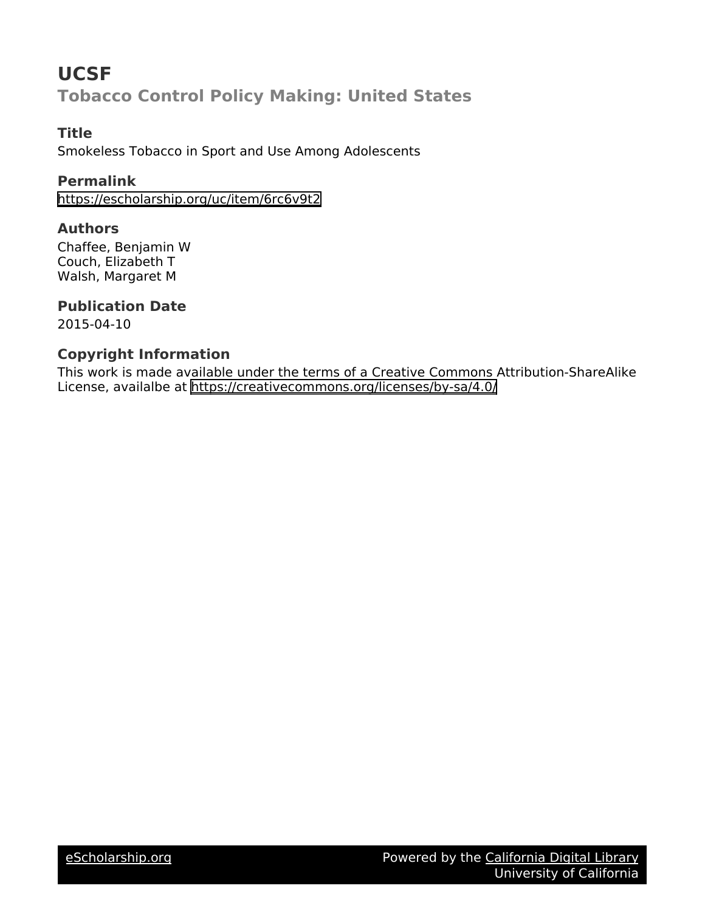# **UCSF Tobacco Control Policy Making: United States**

# **Title**

Smokeless Tobacco in Sport and Use Among Adolescents

# **Permalink**

<https://escholarship.org/uc/item/6rc6v9t2>

#### **Authors**

Chaffee, Benjamin W Couch, Elizabeth T Walsh, Margaret M

# **Publication Date**

2015-04-10

# **Copyright Information**

This work is made available under the terms of a Creative Commons Attribution-ShareAlike License, availalbe at <https://creativecommons.org/licenses/by-sa/4.0/>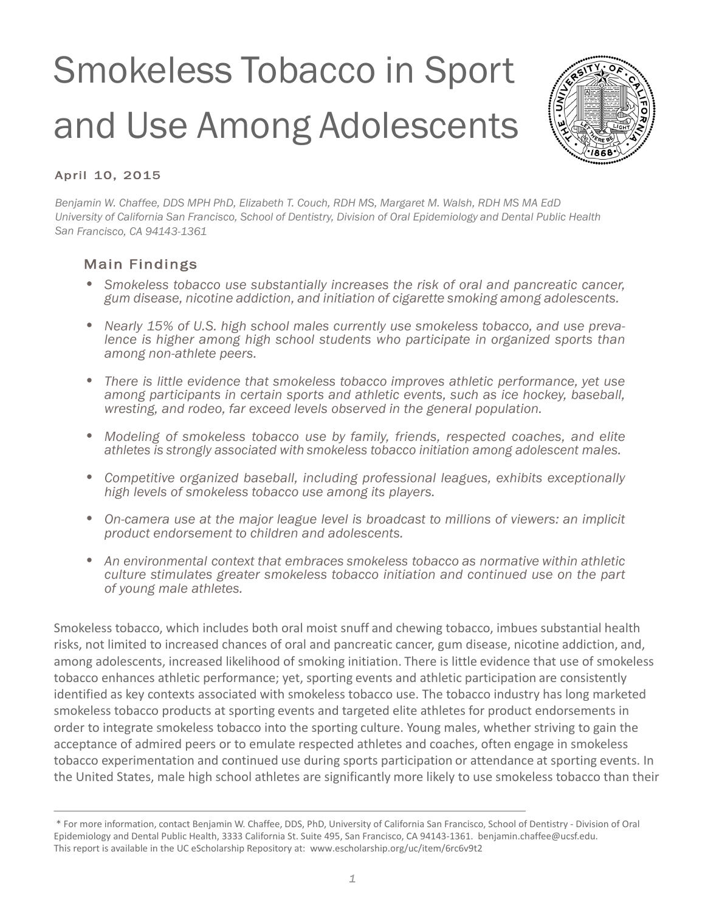# Smokeless Tobacco in Sport and Use Among Adolescents



# April 10, 2015

*Benjamin W. Chaffee, DDS MPH PhD, Elizabeth T. Couch, RDH MS, Margaret M. Walsh, RDH MS MA EdD University of California San Francisco, School of Dentistry, Division of Oral Epidemiology and Dental Public Health San Francisco, CA 94143-1361*

# Main Findings

- Smokeless tobacco use substantially increases the risk of oral and pancreatic cancer, gum disease, nicotine addiction, and initiation of cigarette smoking among adolescents.
- Nearly 15% of U.S. high school males currently use smokeless tobacco, and use preva-<br>lence is higher among high school students who participate in organized sports than *among non-athlete peers.*
- *• There is little evidence that smokeless tobacco improves athletic performance, yet use among participants in certain sports and athletic events, such as ice hockey, baseball, wresting, and rodeo, far exceed levels observed in the general population.*
- *• Modeling of smokeless tobacco use by family, friends, respected coaches, and elite athletes is strongly associated with smokeless tobacco initiation among adolescent males.*
- *• Competitive organized baseball, including professional leagues, exhibits exceptionally high levels of smokeless tobacco use among its players.*
- *• On-camera use at the major league level is broadcast to millions of viewers: an implicit product endorsement to children and adolescents.*
- *• An environmental context that embraces smokeless tobacco as normative within athletic culture stimulates greater smokeless tobacco initiation and continued use on the part of young male athletes.*

Smokeless tobacco, which includes both oral moist snuff and chewing tobacco, imbues substantial health risks, not limited to increased chances of oral and pancreatic cancer, gum disease, nicotine addiction, and, among adolescents, increased likelihood of smoking initiation. There is little evidence that use of smokeless tobacco enhances athletic performance; yet, sporting events and athletic participation are consistently identified as key contexts associated with smokeless tobacco use. The tobacco industry has long marketed smokeless tobacco products at sporting events and targeted elite athletes for product endorsements in order to integrate smokeless tobacco into the sporting culture. Young males, whether striving to gain the acceptance of admired peers or to emulate respected athletes and coaches, often engage in smokeless tobacco experimentation and continued use during sports participation or attendance at sporting events. In the United States, male high school athletes are significantly more likely to use smokeless tobacco than their

<sup>\*</sup> For more information, contact Benjamin W. Chaffee, DDS, PhD, University of California San Francisco, School of Dentistry - Division of Oral Epidemiology and Dental Public Health, 3333 California St. Suite 495, San Francisco, CA 94143-1361. benjamin.chaffee@ucsf.edu. This report is available in the UC eScholarship Repository at: www.escholarship.org/uc/item/6rc6v9t2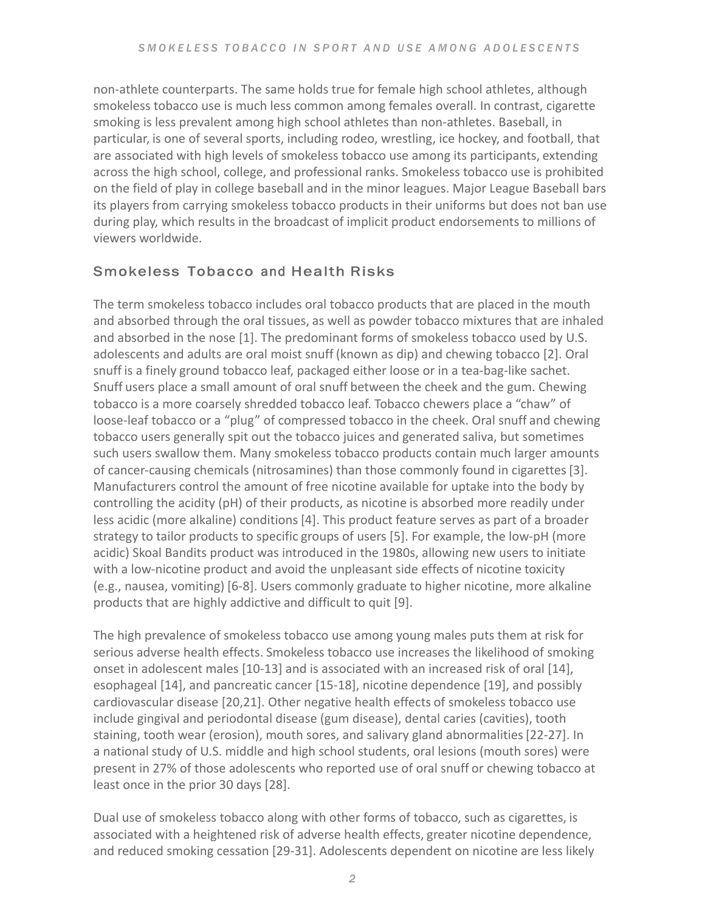non-athlete counterparts. The same holds true for female high school athletes, although smokeless tobacco use is much less common among females overall. In contrast, cigarette smoking is less prevalent among high school athletes than non-athletes. Baseball, in particular, is one of several sports, including rodeo, wrestling, ice hockey, and football, that are associated with high levels of smokeless tobacco use among its participants, extending across the high school, college, and professional ranks. Smokeless tobacco use is prohibited on the field of play in college baseball and in the minor leagues. Major League Baseball bars its players from carrying smokeless tobacco products in their uniforms but does not ban use during play, which results in the broadcast of implicit product endorsements to millions of viewers worldwide.

# Smokeless Tobacco and Health Risks

The term smokeless tobacco includes oral tobacco products that are placed in the mouth and absorbed through the oral tissues, as well as powder tobacco mixtures that are inhaled and absorbed in the nose  $[1]$ . The predominant forms of smokeless tobacco used by U.S. adolescents and adults are oral moist snuff (known as dip) and chewing tobacco [2]. Oral snuff is a finely ground tobacco leaf, packaged either loose or in a tea-bag-like sachet. Snuff users place a small amount of oral snuff between the cheek and the gum. Chewing tobacco is a more coarsely shredded tobacco leaf. Tobacco chewers place a "chaw" of loose-leaf tobacco or a "plug" of compressed tobacco in the cheek. Oral snuff and chewing tobacco users generally spit out the tobacco juices and generated saliva, but sometimes such users swallow them. Many smokeless tobacco products contain much larger amounts of cancer-causing chemicals (nitrosamines) than those commonly found in cigarettes [3]. Manufacturers control the amount of free nicotine available for uptake into the body by controlling the acidity  $(pH)$  of their products, as nicotine is absorbed more readily under less acidic (more alkaline) conditions [4]. This product feature serves as part of a broader strategy to tailor products to specific groups of users [5]. For example, the low-pH (more acidic) Skoal Bandits product was introduced in the 1980s, allowing new users to initiate with a low-nicotine product and avoid the unpleasant side effects of nicotine toxicity (e.g., nausea, vomiting) [6-8]. Users commonly graduate to higher nicotine, more alkaline products that are highly addictive and difficult to quit [9].

The high prevalence of smokeless tobacco use among young males puts them at risk for serious adverse health effects. Smokeless tobacco use increases the likelihood of smoking onset in adolescent males  $[10-13]$  and is associated with an increased risk of oral  $[14]$ , esophageal [14], and pancreatic cancer [15-18], nicotine dependence [19], and possibly cardiovascular disease [20,21]. Other negative health effects of smokeless tobacco use include gingival and periodontal disease (gum disease), dental caries (cavities), tooth staining, tooth wear (erosion), mouth sores, and salivary gland abnormalities [22-27]. In a national study of U.S. middle and high school students, oral lesions (mouth sores) were present in 27% of those adolescents who reported use of oral snuff or chewing tobacco at least once in the prior 30 days [28].

Dual use of smokeless tobacco along with other forms of tobacco, such as cigarettes, is associated with a heightened risk of adverse health effects, greater nicotine dependence, and reduced smoking cessation [29-31]. Adolescents dependent on nicotine are less likely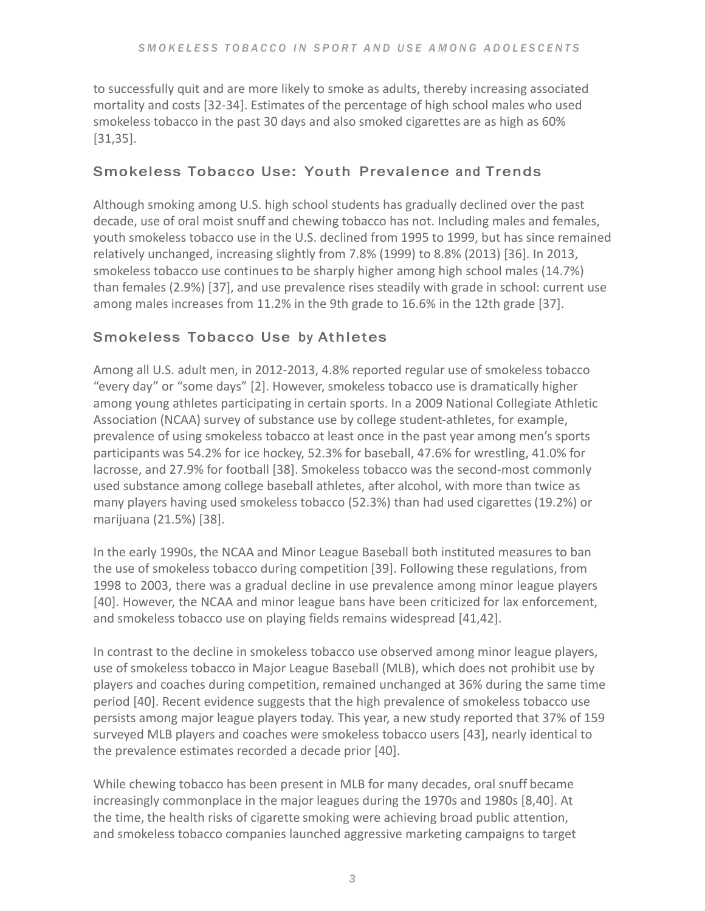to successfully quit and are more likely to smoke as adults, thereby increasing associated mortality and costs [32-34]. Estimates of the percentage of high school males who used smokeless tobacco in the past 30 days and also smoked cigarettes are as high as 60% [31,35].

## Smokeless Tobacco Use: Youth Prevalence and Trends

Although smoking among U.S. high school students has gradually declined over the past decade, use of oral moist snuff and chewing tobacco has not. Including males and females, youth smokeless tobacco use in the U.S. declined from 1995 to 1999, but has since remained relatively unchanged, increasing slightly from 7.8% (1999) to 8.8% (2013) [36]. In 2013, smokeless tobacco use continues to be sharply higher among high school males (14.7%) than females (2.9%) [37], and use prevalence rises steadily with grade in school: current use among males increases from 11.2% in the 9th grade to 16.6% in the 12th grade [37].

# Smokeless Tobacco Use by Athletes

Among all U.S. adult men, in 2012-2013, 4.8% reported regular use of smokeless tobacco "every day" or "some days" [2]. However, smokeless tobacco use is dramatically higher among young athletes participating in certain sports. In a 2009 National Collegiate Athletic Association (NCAA) survey of substance use by college student-athletes, for example, prevalence of using smokeless tobacco at least once in the past year among men's sports participants was 54.2% for ice hockey, 52.3% for baseball, 47.6% for wrestling, 41.0% for lacrosse, and 27.9% for football [38]. Smokeless tobacco was the second-most commonly used substance among college baseball athletes, after alcohol, with more than twice as many players having used smokeless tobacco (52.3%) than had used cigarettes (19.2%) or marijuana (21.5%) [38].

In the early 1990s, the NCAA and Minor League Baseball both instituted measures to ban the use of smokeless tobacco during competition [39]. Following these regulations, from 1998 to 2003, there was a gradual decline in use prevalence among minor league players [40]. However, the NCAA and minor league bans have been criticized for lax enforcement, and smokeless tobacco use on playing fields remains widespread [41,42].

In contrast to the decline in smokeless tobacco use observed among minor league players, use of smokeless tobacco in Major League Baseball (MLB), which does not prohibit use by players and coaches during competition, remained unchanged at 36% during the same time period [40]. Recent evidence suggests that the high prevalence of smokeless tobacco use persists among major league players today. This year, a new study reported that 37% of 159 surveyed MLB players and coaches were smokeless tobacco users [43], nearly identical to the prevalence estimates recorded a decade prior [40].

While chewing tobacco has been present in MLB for many decades, oral snuff became increasingly commonplace in the major leagues during the 1970s and 1980s [8,40]. At the time, the health risks of cigarette smoking were achieving broad public attention, and smokeless tobacco companies launched aggressive marketing campaigns to target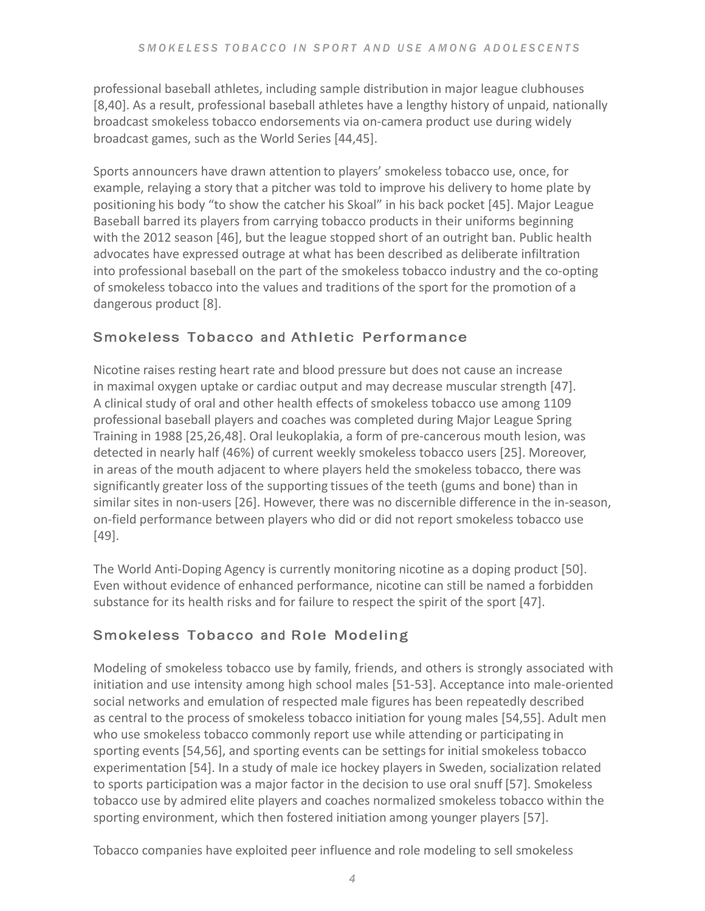professional baseball athletes, including sample distribution in major league clubhouses [8,40]. As a result, professional baseball athletes have a lengthy history of unpaid, nationally broadcast smokeless tobacco endorsements via on-camera product use during widely broadcast games, such as the World Series [44,45].

Sports announcers have drawn attention to players' smokeless tobacco use, once, for example, relaying a story that a pitcher was told to improve his delivery to home plate by positioning his body "to show the catcher his Skoal" in his back pocket [45]. Major League Baseball barred its players from carrying tobacco products in their uniforms beginning with the 2012 season  $[46]$ , but the league stopped short of an outright ban. Public health advocates have expressed outrage at what has been described as deliberate infiltration into professional baseball on the part of the smokeless tobacco industry and the co-opting of smokeless tobacco into the values and traditions of the sport for the promotion of a dangerous product [8].

# Smokeless Tobacco and Athletic Performance

Nicotine raises resting heart rate and blood pressure but does not cause an increase in maximal oxygen uptake or cardiac output and may decrease muscular strength [47]. A clinical study of oral and other health effects of smokeless tobacco use among 1109 professional baseball players and coaches was completed during Major League Spring Training in 1988 [25,26,48]. Oral leukoplakia, a form of pre-cancerous mouth lesion, was detected in nearly half (46%) of current weekly smokeless tobacco users [25]. Moreover, in areas of the mouth adjacent to where players held the smokeless tobacco, there was significantly greater loss of the supporting tissues of the teeth (gums and bone) than in similar sites in non-users [26]. However, there was no discernible difference in the in-season, on-field performance between players who did or did not report smokeless tobacco use [49].

The World Anti-Doping Agency is currently monitoring nicotine as a doping product [50]. Even without evidence of enhanced performance, nicotine can still be named a forbidden substance for its health risks and for failure to respect the spirit of the sport  $[47]$ .

# Smokeless Tobacco and Role Modeling

Modeling of smokeless tobacco use by family, friends, and others is strongly associated with initiation and use intensity among high school males [51-53]. Acceptance into male-oriented social networks and emulation of respected male figures has been repeatedly described as central to the process of smokeless tobacco initiation for young males [54,55]. Adult men who use smokeless tobacco commonly report use while attending or participating in sporting events [54,56], and sporting events can be settings for initial smokeless tobacco experimentation [54]. In a study of male ice hockey players in Sweden, socialization related to sports participation was a major factor in the decision to use oral snuff [57]. Smokeless tobacco use by admired elite players and coaches normalized smokeless tobacco within the sporting environment, which then fostered initiation among younger players [57].

Tobacco companies have exploited peer influence and role modeling to sell smokeless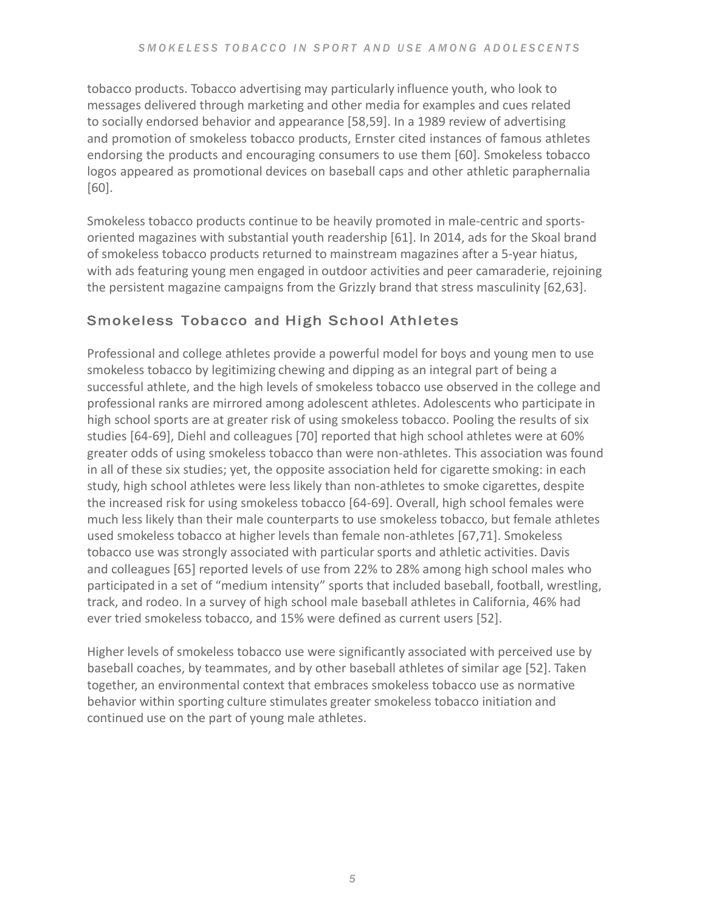tobacco products. Tobacco advertising may particularly influence youth, who look to messages delivered through marketing and other media for examples and cues related to socially endorsed behavior and appearance [58,59]. In a 1989 review of advertising and promotion of smokeless tobacco products, Ernster cited instances of famous athletes endorsing the products and encouraging consumers to use them [60]. Smokeless tobacco logos appeared as promotional devices on baseball caps and other athletic paraphernalia [60].

Smokeless tobacco products continue to be heavily promoted in male-centric and sportsoriented magazines with substantial youth readership [61]. In 2014, ads for the Skoal brand of smokeless tobacco products returned to mainstream magazines after a 5-year hiatus, with ads featuring young men engaged in outdoor activities and peer camaraderie, rejoining the persistent magazine campaigns from the Grizzly brand that stress masculinity  $[62,63]$ .

# Smokeless Tobacco and High School Athletes

Professional and college athletes provide a powerful model for boys and young men to use smokeless tobacco by legitimizing chewing and dipping as an integral part of being a successful athlete, and the high levels of smokeless tobacco use observed in the college and professional ranks are mirrored among adolescent athletes. Adolescents who participate in high school sports are at greater risk of using smokeless tobacco. Pooling the results of six studies [64-69], Diehl and colleagues [70] reported that high school athletes were at 60% greater odds of using smokeless tobacco than were non-athletes. This association was found in all of these six studies; yet, the opposite association held for cigarette smoking: in each study, high school athletes were less likely than non-athletes to smoke cigarettes, despite the increased risk for using smokeless tobacco [64-69]. Overall, high school females were much less likely than their male counterparts to use smokeless tobacco, but female athletes used smokeless tobacco at higher levels than female non-athletes [67,71]. Smokeless tobacco use was strongly associated with particular sports and athletic activities. Davis and colleagues [65] reported levels of use from 22% to 28% among high school males who participated in a set of "medium intensity" sports that included baseball, football, wrestling, track, and rodeo. In a survey of high school male baseball athletes in California, 46% had ever tried smokeless tobacco, and 15% were defined as current users [52].

Higher levels of smokeless tobacco use were significantly associated with perceived use by baseball coaches, by teammates, and by other baseball athletes of similar age [52]. Taken together, an environmental context that embraces smokeless tobacco use as normative behavior within sporting culture stimulates greater smokeless tobacco initiation and continued use on the part of young male athletes.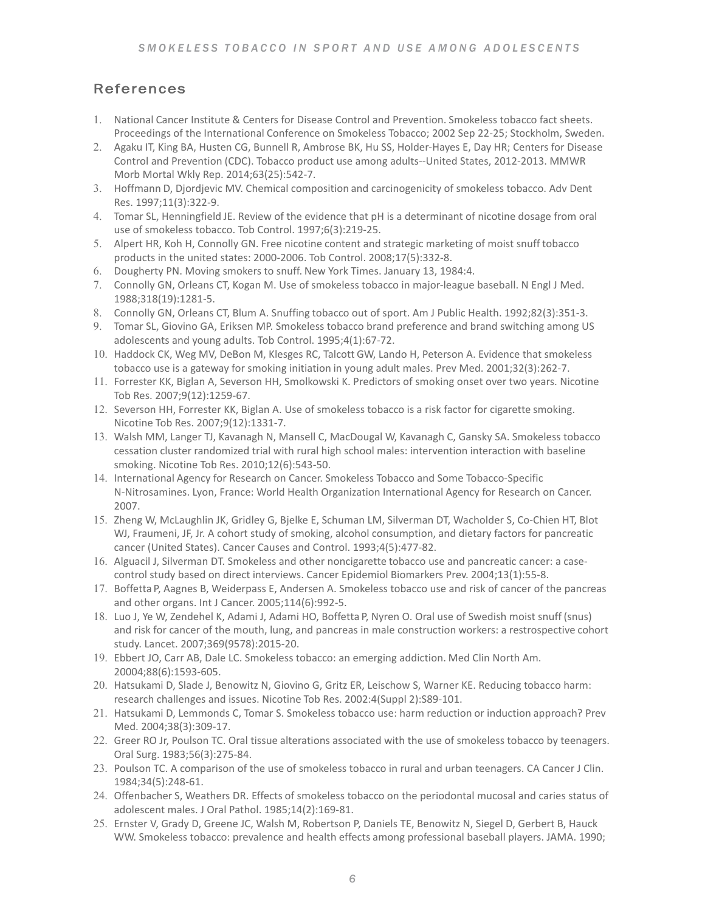# References

- 1. National Cancer Institute & Centers for Disease Control and Prevention. Smokeless tobacco fact sheets. Proceedings of the International Conference on Smokeless Tobacco; 2002 Sep 22-25; Stockholm, Sweden.
- 2. Agaku IT, King BA, Husten CG, Bunnell R, Ambrose BK, Hu SS, Holder-Hayes E, Day HR; Centers for Disease Control and Prevention (CDC). Tobacco product use among adults--United States, 2012-2013. MMWR Morb Mortal Wkly Rep. 2014;63(25):542-7.
- 3. Hoffmann D, Djordjevic MV. Chemical composition and carcinogenicity of smokeless tobacco. Adv Dent Res. 1997;11(3):322-9.
- 4. Tomar SL, Henningfield JE. Review of the evidence that pH is a determinant of nicotine dosage from oral use of smokeless tobacco. Tob Control. 1997;6(3):219-25.
- 5. Alpert HR, Koh H, Connolly GN. Free nicotine content and strategic marketing of moist snuff tobacco products in the united states: 2000-2006. Tob Control. 2008;17(5):332-8.
- 6. Dougherty PN. Moving smokers to snuff. New York Times. January 13, 1984:4.
- 7. Connolly GN, Orleans CT, Kogan M. Use of smokeless tobacco in major-league baseball. N Engl J Med. 1988;318(19):1281-5.
- 8. Connolly GN, Orleans CT, Blum A. Snuffing tobacco out of sport. Am J Public Health. 1992;82(3):351-3.
- 9. Tomar SL, Giovino GA, Eriksen MP. Smokeless tobacco brand preference and brand switching among US adolescents and young adults. Tob Control. 1995;4(1):67-72.
- 10. Haddock CK, Weg MV, DeBon M, Klesges RC, Talcott GW, Lando H, Peterson A. Evidence that smokeless tobacco use is a gateway for smoking initiation in young adult males. Prev Med. 2001;32(3):262-7.
- 11. Forrester KK, Biglan A, Severson HH, Smolkowski K. Predictors of smoking onset over two years. Nicotine Tob Res. 2007;9(12):1259-67.
- 12. Severson HH, Forrester KK, Biglan A. Use of smokeless tobacco is a risk factor for cigarette smoking. Nicotine Tob Res. 2007;9(12):1331-7.
- 13. Walsh MM, Langer TJ, Kavanagh N, Mansell C, MacDougal W, Kavanagh C, Gansky SA. Smokeless tobacco cessation cluster randomized trial with rural high school males: intervention interaction with baseline smoking. Nicotine Tob Res. 2010;12(6):543-50.
- 14. International Agency for Research on Cancer. Smokeless Tobacco and Some Tobacco-Specific N-Nitrosamines. Lyon, France: World Health Organization International Agency for Research on Cancer. 2007.
- 15. Zheng W, McLaughlin JK, Gridley G, Bjelke E, Schuman LM, Silverman DT, Wacholder S, Co-Chien HT, Blot WJ, Fraumeni, JF, Jr. A cohort study of smoking, alcohol consumption, and dietary factors for pancreatic cancer (United States). Cancer Causes and Control. 1993;4(5):477-82.
- 16. Alguacil J, Silverman DT. Smokeless and other noncigarette tobacco use and pancreatic cancer: a casecontrol study based on direct interviews. Cancer Epidemiol Biomarkers Prev. 2004;13(1):55-8.
- 17. Boffetta P, Aagnes B, Weiderpass E, Andersen A. Smokeless tobacco use and risk of cancer of the pancreas and other organs. Int J Cancer. 2005;114(6):992-5.
- 18. Luo J, Ye W, Zendehel K, Adami J, Adami HO, Boffetta P, Nyren O. Oral use of Swedish moist snuff (snus) and risk for cancer of the mouth, lung, and pancreas in male construction workers: a restrospective cohort study. Lancet. 2007;369(9578):2015-20.
- 19. Ebbert JO, Carr AB, Dale LC. Smokeless tobacco: an emerging addiction. Med Clin North Am. 20004;88(6):1593-605.
- 20. Hatsukami D, Slade J, Benowitz N, Giovino G, Gritz ER, Leischow S, Warner KE. Reducing tobacco harm: research challenges and issues. Nicotine Tob Res. 2002:4(Suppl 2):S89-101.
- 21. Hatsukami D, Lemmonds C, Tomar S. Smokeless tobacco use: harm reduction or induction approach? Prev Med. 2004;38(3):309-17.
- 22. Greer RO Jr, Poulson TC. Oral tissue alterations associated with the use of smokeless tobacco by teenagers. Oral Surg. 1983;56(3):275-84.
- 23. Poulson TC. A comparison of the use of smokeless tobacco in rural and urban teenagers. CA Cancer J Clin. 1984;34(5):248-61.
- 24. Offenbacher S, Weathers DR. Effects of smokeless tobacco on the periodontal mucosal and caries status of adolescent males. J Oral Pathol. 1985;14(2):169-81.
- 25. Ernster V, Grady D, Greene JC, Walsh M, Robertson P, Daniels TE, Benowitz N, Siegel D, Gerbert B, Hauck WW. Smokeless tobacco: prevalence and health effects among professional baseball players. JAMA. 1990;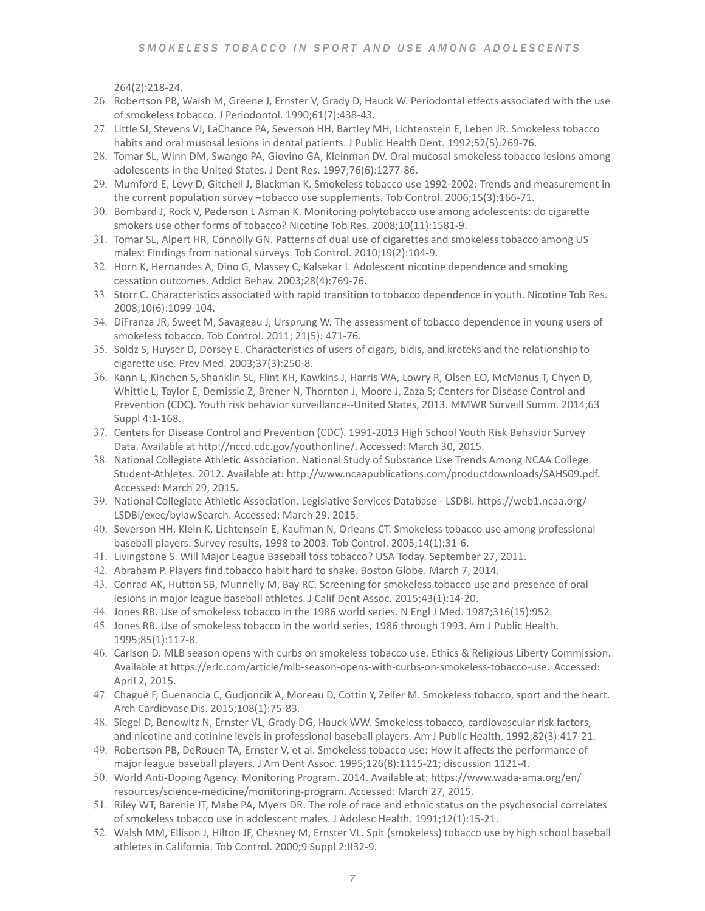264(2):218-24.

- 26. Robertson PB, Walsh M, Greene J, Ernster V, Grady D, Hauck W. Periodontal effects associated with the use of smokeless tobacco. J Periodontol. 1990;61(7):438-43.
- 27. Little SJ, Stevens VJ, LaChance PA, Severson HH, Bartley MH, Lichtenstein E, Leben JR. Smokeless tobacco habits and oral musosal lesions in dental patients. J Public Health Dent. 1992;52(5):269-76.
- 28. Tomar SL, Winn DM, Swango PA, Giovino GA, Kleinman DV. Oral mucosal smokeless tobacco lesions among adolescents in the United States. J Dent Res. 1997;76(6):1277-86.
- 29. Mumford E, Levy D, Gitchell J, Blackman K. Smokeless tobacco use 1992-2002: Trends and measurement in the current population survey  $-$ tobacco use supplements. Tob Control. 2006;15(3):166-71.
- 30. Bombard J, Rock V, Pederson L Asman K. Monitoring polytobacco use among adolescents: do cigarette smokers use other forms of tobacco? Nicotine Tob Res. 2008;10(11):1581-9.
- 31. Tomar SL, Alpert HR, Connolly GN. Patterns of dual use of cigarettes and smokeless tobacco among US males: Findings from national surveys. Tob Control. 2010;19(2):104-9.
- 32. Horn K, Hernandes A, Dino G, Massey C, Kalsekar I. Adolescent nicotine dependence and smoking cessation outcomes. Addict Behav. 2003;28(4):769-76.
- 33. Storr C. Characteristics associated with rapid transition to tobacco dependence in youth. Nicotine Tob Res. 2008;10(6):1099-104.
- 34. DiFranza JR, Sweet M, Savageau J, Ursprung W. The assessment of tobacco dependence in young users of smokeless tobacco. Tob Control. 2011; 21(5): 471-76.
- 35. Soldz S, Huyser D, Dorsey E. Characteristics of users of cigars, bidis, and kreteks and the relationship to cigarette use. Prev Med. 2003;37(3):250-8.
- 36. Kann L, Kinchen S, Shanklin SL, Flint KH, Kawkins J, Harris WA, Lowry R, Olsen EO, McManus T, Chyen D, Whittle L, Taylor E, Demissie Z, Brener N, Thornton J, Moore J, Zaza S; Centers for Disease Control and Prevention (CDC). Youth risk behavior surveillance--United States, 2013. MMWR Surveill Summ. 2014;63 Suppl 4:1-168.
- 37. Centers for Disease Control and Prevention (CDC). 1991-2013 High School Youth Risk Behavior Survey Data. Available at http://nccd.cdc.gov/youthonline/. Accessed: March 30, 2015.
- 38. National Collegiate Athletic Association. National Study of Substance Use Trends Among NCAA College Student-Athletes. 2012. Available at: http://www.ncaapublications.com/productdownloads/SAHS09.pdf. Accessed: March 29, 2015.
- 39. National Collegiate Athletic Association. Legislative Services Database LSDBi. https://web1.ncaa.org/ LSDBi/exec/bylawSearch. Accessed: March 29, 2015.
- 40. Severson HH, Klein K, Lichtensein E, Kaufman N, Orleans CT. Smokeless tobacco use among professional baseball players: Survey results, 1998 to 2003. Tob Control. 2005;14(1):31-6.
- 41. Livingstone S. Will Major League Baseball toss tobacco? USA Today. September 27, 2011.
- 42. Abraham P. Players find tobacco habit hard to shake. Boston Globe. March 7, 2014.
- 43. Conrad AK, Hutton SB, Munnelly M, Bay RC. Screening for smokeless tobacco use and presence of oral lesions in major league baseball athletes. J Calif Dent Assoc. 2015;43(1):14-20.
- 44. Jones RB. Use of smokeless tobacco in the 1986 world series. N Engl J Med. 1987;316(15):952.
- 45. Jones RB. Use of smokeless tobacco in the world series, 1986 through 1993. Am J Public Health. 1995;85(1):117-8.
- 46. Carlson D. MLB season opens with curbs on smokeless tobacco use. Ethics & Religious Liberty Commission. Available at https://erlc.com/article/mlb-season-opens-with-curbs-on-smokeless-tobacco-use. Accessed: April 2, 2015.
- 47. Chagué F, Guenancia C, Gudjoncik A, Moreau D, Cottin Y, Zeller M. Smokeless tobacco, sport and the heart. Arch Cardiovasc Dis. 2015;108(1):75-83.
- 48. Siegel D, Benowitz N, Ernster VL, Grady DG, Hauck WW. Smokeless tobacco, cardiovascular risk factors, and nicotine and cotinine levels in professional baseball players. Am J Public Health. 1992;82(3):417-21.
- 49. Robertson PB, DeRouen TA, Ernster V, et al. Smokeless tobacco use: How it affects the performance of major league baseball players. J Am Dent Assoc. 1995;126(8):1115-21; discussion 1121-4.
- 50. World Anti-Doping Agency. Monitoring Program. 2014. Available at: https://www.wada-ama.org/en/ resources/science-medicine/monitoring-program. Accessed: March 27, 2015.
- 51. Riley WT, Barenie JT, Mabe PA, Myers DR. The role of race and ethnic status on the psychosocial correlates of smokeless tobacco use in adolescent males. J Adolesc Health. 1991;12(1):15-21.
- 52. Walsh MM, Ellison J, Hilton JF, Chesney M, Ernster VL. Spit (smokeless) tobacco use by high school baseball athletes in California. Tob Control. 2000;9 Suppl 2:II32-9.